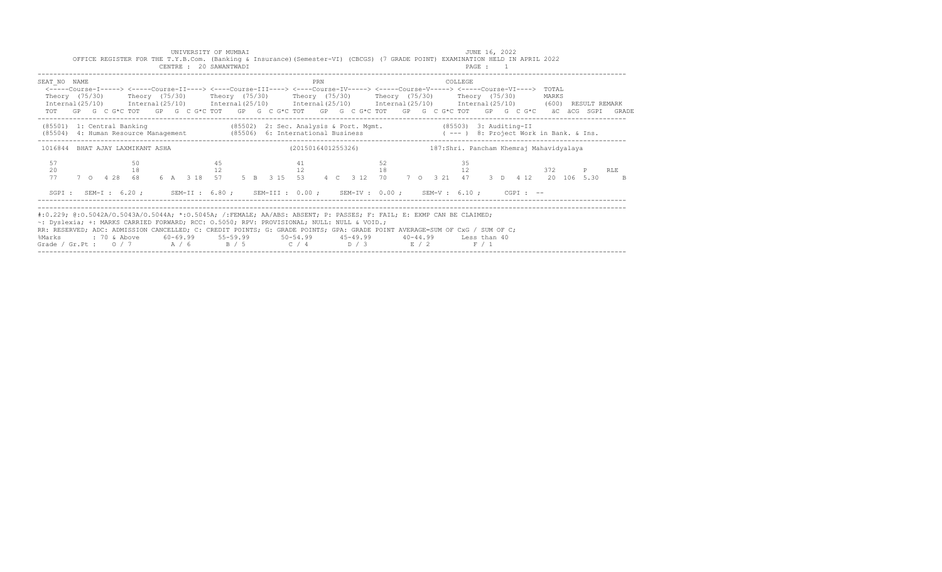|                                                                                                                                                                                                                                                                                                                                                                                                                       |  |  |          |  | UNIVERSITY OF MUMBAI<br>CENTRE : 20 SAWANTWADI |          |  |    |    |     | OFFICE REGISTER FOR THE T.Y.B.Com. (Banking & Insurance) (Semester-VI) (CBCGS) (7 GRADE POINT) EXAMINATION HELD IN APRIL 2022                                                                                                                 |    |  |         | JUNE 16, 2022<br>PAGE : 1 |  |  |       |          |                                                                                                             |  |
|-----------------------------------------------------------------------------------------------------------------------------------------------------------------------------------------------------------------------------------------------------------------------------------------------------------------------------------------------------------------------------------------------------------------------|--|--|----------|--|------------------------------------------------|----------|--|----|----|-----|-----------------------------------------------------------------------------------------------------------------------------------------------------------------------------------------------------------------------------------------------|----|--|---------|---------------------------|--|--|-------|----------|-------------------------------------------------------------------------------------------------------------|--|
| SEAT NO NAME<br>Internal(25/10) Internal(25/10) Internal(25/10) Internal(25/10) Internal(25/10) Internal(25/10) (600) RESULT REMARK                                                                                                                                                                                                                                                                                   |  |  |          |  |                                                |          |  |    |    | PRN | <-----Course-I-----> <-----Course-II----> <----Course-III----> <----Course-IV-----> <----Course-V-----> <----Course-VI----> TOTAL<br>Theory (75/30)    Theory (75/30)    Theory (75/30)    Theory (75/30)    Theory (75/30)    Theory (75/30) |    |  | COLLEGE |                           |  |  | MARKS |          | TOT GP G C G*C TOT GP G C G*C TOT GP G C G*C TOT GP G C G*C TOT GP G C G*C TOT GP G C G*C aC aCG SGPI GRADE |  |
| (85501) 1: Central Banking (85502) 2: Sec. Analysis & Port. Mgmt. (85503) 3: Auditing-II<br>(8504) 4: Human Resource Management (85506) 6: International Business (---) 8: Project Work in Bank. & Ins.                                                                                                                                                                                                               |  |  |          |  |                                                |          |  |    |    |     |                                                                                                                                                                                                                                               |    |  |         |                           |  |  |       |          |                                                                                                             |  |
| 1016844 BHAT AJAY LAXMIKANT ASHA<br>57<br>20<br>77                                                                                                                                                                                                                                                                                                                                                                    |  |  | 50<br>18 |  |                                                | 45<br>12 |  | 41 | 12 |     | (2015016401255326) 187:Shri. Pancham Khemraj Mahavidyalaya<br>52                                                                                                                                                                              | 18 |  | 35      | 12                        |  |  |       | 372 PRLE | 7 0 4 28 68 6 A 3 18 57 5 B 3 15 53 4 C 3 12 70 7 0 3 21 47 3 D 4 12 20 106 5.30 B                          |  |
| #:0.229; @:0.5042A/O.5043A/O.5044A; *:0.5045A; /:FEMALE; AA/ABS: ABSENT; P: PASSES; F: FAIL; E: EXMP CAN BE CLAIMED;<br>~: Dyslexia; +: MARKS CARRIED FORWARD; RCC: 0.5050; RPV: PROVISIONAL; NULL: NULL & VOID.;<br>RR: RESERVED; ADC: ADMISSION CANCELLED; C: CREDIT POINTS; G: GRADE POINTS; GPA: GRADE POINT AVERAGE=SUM OF CxG / SUM OF C;<br>%Marks<br>Grade / Gr.Pt: $0/7$ $A/6$ $B/5$ $C/4$ $D/3$ $E/2$ $F/1$ |  |  |          |  |                                                |          |  |    |    |     | SGPI: SEM-I: 6.20; SEM-II: 6.80; SEM-III: 0.00; SEM-IV: 0.00; SEM-V: 6.10; CGPI: --                                                                                                                                                           |    |  |         |                           |  |  |       |          |                                                                                                             |  |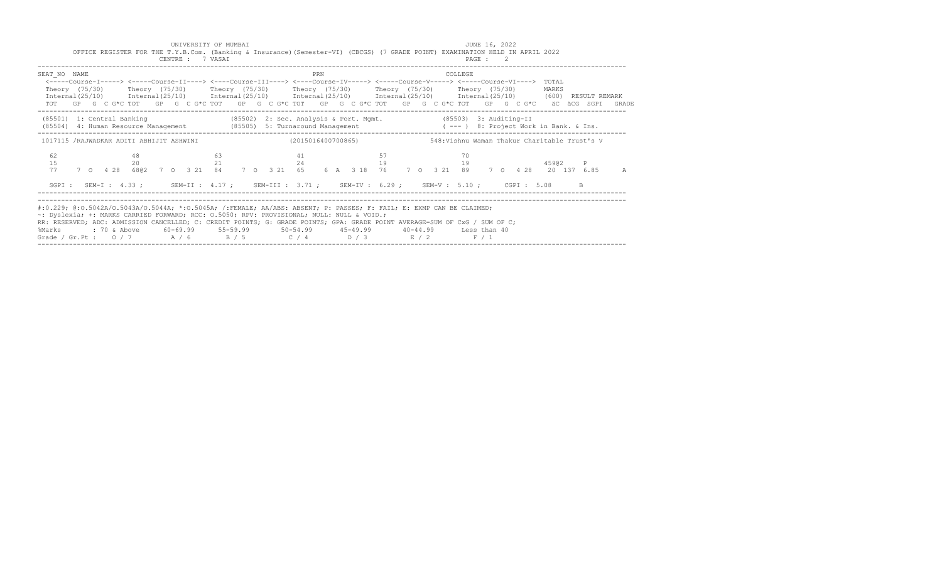| CENTRE : 7 VASAI                         | OFFICE REGISTER FOR THE T.Y.B.Com. (Banking & Insurance) (Semester-VI) (CBCGS) (7 GRADE POINT) EXAMINATION HELD IN APRIL 2022                                                                                                                                                                                                                                                                                                                                                          | PAGE : 2                                     |            |
|------------------------------------------|----------------------------------------------------------------------------------------------------------------------------------------------------------------------------------------------------------------------------------------------------------------------------------------------------------------------------------------------------------------------------------------------------------------------------------------------------------------------------------------|----------------------------------------------|------------|
| SEAT NO NAME                             | PRN<br><-----Course-I-----> <-----Course-II----> <----Course-III----> <----Course-IV-----> <----Course-V-----> <----Course-VI----> TOTAL<br>Theory (75/30)  Theory (75/30)  Theory (75/30)  Theory (75/30)  Theory (75/30)  Theory (75/30)<br>Internal (25/10) Internal (25/10) Internal (25/10) Internal (25/10) Internal (25/10) Internal (25/10) (600) RESULT REMARK<br>TOT GP G C G*C TOT GP G C G*C TOT GP G C G*C TOT GP G C G*C TOT GP G C G*C TOT GP G C G*C äC äCG SGPI GRADE | COLLEGE                                      | MARKS      |
| (85501) 1: Central Banking               | (85502) 2: Sec. Analysis & Port. Mgmt. (85503) 3: Auditing-II<br>(85504) 4: Human Resource Management (85505) 5: Turnaround Management (---) 8: Project Work in Bank. & Ins.                                                                                                                                                                                                                                                                                                           |                                              |            |
| 1017115 /RAJWADKAR ADITI ABHIJIT ASHWINI | (2015016400700865)                                                                                                                                                                                                                                                                                                                                                                                                                                                                     | 548:Vishnu Waman Thakur Charitable Trust's V |            |
| 62<br>48<br>15<br>20<br>77               | 57<br>63<br>41<br>21<br>7 0 4 28 6802 7 0 3 21 84 7 0 3 21 65 6 A 3 18 76 7 0 3 21 89 7 0 4 28 20 137 6 85                                                                                                                                                                                                                                                                                                                                                                             | 70<br>24 19 19 19                            | 45902<br>A |
|                                          | SGPI: SEM-I: 4.33; SEM-II: 4.17; SEM-III: 3.71; SEM-IV: 6.29; SEM-V: 5.10; CGPI: 5.08                                                                                                                                                                                                                                                                                                                                                                                                  |                                              | B.         |
| %Marks                                   | #:0.229; @:0.5042A/O.5043A/O.5044A; *:0.5045A; /:FEMALE; AA/ABS: ABSENT; P: PASSES; F: FAIL; E: EXMP CAN BE CLAIMED;<br>~: Dyslexia; +: MARKS CARRIED FORWARD; RCC: 0.5050; RPV: PROVISIONAL; NULL: NULL & VOID.;<br>RR: RESERVED; ADC: ADMISSION CANCELLED; C: CREDIT POINTS; G: GRADE POINTS; GPA: GRADE POINT AVERAGE=SUM OF CxG / SUM OF C;<br>Grade / Gr.Pt : $0/7$ $A/6$ $B/5$ $C/4$ $D/3$ $E/2$ $F/1$                                                                           |                                              |            |

UNIVERSITY OF MUMBAI **All and Separate Contract Contract Contract Contract Contract Contract Contract Contract Contract Contract Contract Contract Contract Contract Contract Contract Contract Contract Contract Contract Con**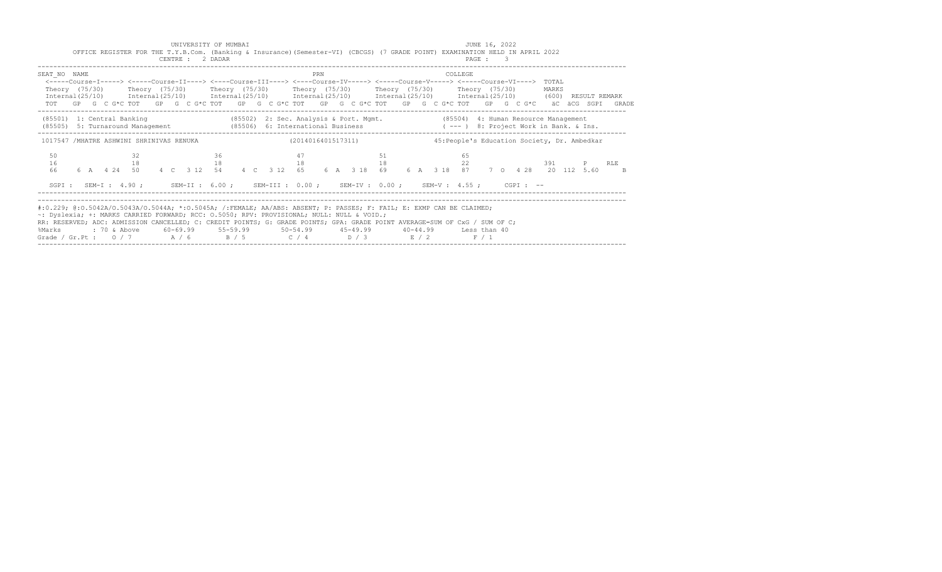|                                                                                                                                                                                                                                                                                                                                                                                                                                                                                                |  |          |  | UNIVERSITY OF MUMBAI<br>CENTRE : 2 DADAR |  | OFFICE REGISTER FOR THE T.Y.B.Com. (Banking & Insurance) (Semester-VI) (CBCGS) (7 GRADE POINT) EXAMINATION HELD IN APRIL 2022 |    |     |  |    |  |         | JUNE 16, 2022<br>PAGE : 3 |  |  |       |                                              |                                                                                                                                                                 |
|------------------------------------------------------------------------------------------------------------------------------------------------------------------------------------------------------------------------------------------------------------------------------------------------------------------------------------------------------------------------------------------------------------------------------------------------------------------------------------------------|--|----------|--|------------------------------------------|--|-------------------------------------------------------------------------------------------------------------------------------|----|-----|--|----|--|---------|---------------------------|--|--|-------|----------------------------------------------|-----------------------------------------------------------------------------------------------------------------------------------------------------------------|
| SEAT NO NAME<br><-----Course-I-----> <-----Course-II----> <----Course-III----> <----Course-IV-----> <----Course-V-----> <----Course-VI----> TOTAL<br>Theory (75/30)  Theory (75/30)  Theory (75/30)  Theory (75/30)  Theory (75/30)  Theory (75/30)<br>Internal(25/10) Internal(25/10) Internal(25/10) Internal(25/10) Internal(25/10) Internal(25/10) (600) RESULT REMARK                                                                                                                     |  |          |  |                                          |  |                                                                                                                               |    | PRN |  |    |  | COLLEGE |                           |  |  | MARKS |                                              | TOT GP G C G*C TOT GP G C G*C TOT GP G C G*C TOT GP G C G*C TOT GP G C G*C TOT GP G C G*C äC äCG SGPI GRADE                                                     |
| (85501) 1: Central Banking (85502) 2: Sec. Analysis & Port. Mgmt. (85504) 4: Human Resource Management<br>(85505) 5: Turnaround Management (85506) 6: International Business (--- ) 8: Project Work in Bank. & Ins.                                                                                                                                                                                                                                                                            |  |          |  |                                          |  |                                                                                                                               |    |     |  |    |  |         |                           |  |  |       |                                              |                                                                                                                                                                 |
| 1017547 /MHATRE ASHWINI SHRINIVAS RENUKA (2014016401517311)                                                                                                                                                                                                                                                                                                                                                                                                                                    |  |          |  |                                          |  |                                                                                                                               |    |     |  |    |  |         |                           |  |  |       | 45: People's Education Society, Dr. Ambedkar |                                                                                                                                                                 |
| 50<br>16<br>66                                                                                                                                                                                                                                                                                                                                                                                                                                                                                 |  | 32<br>18 |  | 18                                       |  | $36$ $47$ 51                                                                                                                  | 18 |     |  | 18 |  | 65      | 22                        |  |  |       | 391 P RLE                                    | 6 A    4    4    4    4    C    3    12    54    4    C    3    12    65    6    A    318    69    6    A    318    87    7    0   428   20    112    5.60    B |
| #:0.229; @:0.5042A/O.5043A/O.5044A; *:0.5045A; /:FEMALE; AA/ABS: ABSENT; P: PASSES; F: FAIL; E: EXMP CAN BE CLAIMED;<br>~: Dyslexia; +: MARKS CARRIED FORWARD; RCC: 0.5050; RPV: PROVISIONAL; NULL: NULL & VOID.;<br>RR: RESERVED; ADC: ADMISSION CANCELLED; C: CREDIT POINTS; G: GRADE POINTS; GPA: GRADE POINT AVERAGE=SUM OF CxG / SUM OF C;<br>%Marks : 70 & Above 60-69.99 55-59.99 50-54.99 45-49.99 40-44.99 Less than 40<br>Grade / Gr. Pt : $0/7$ A / 6 B / 5 C / 4 D / 3 E / 2 F / 1 |  |          |  |                                          |  | SGPI: SEM-I: 4.90; SEM-II: 6.00; SEM-III: 0.00; SEM-IV: 0.00; SEM-V: 4.55; CGPI: --                                           |    |     |  |    |  |         |                           |  |  |       |                                              |                                                                                                                                                                 |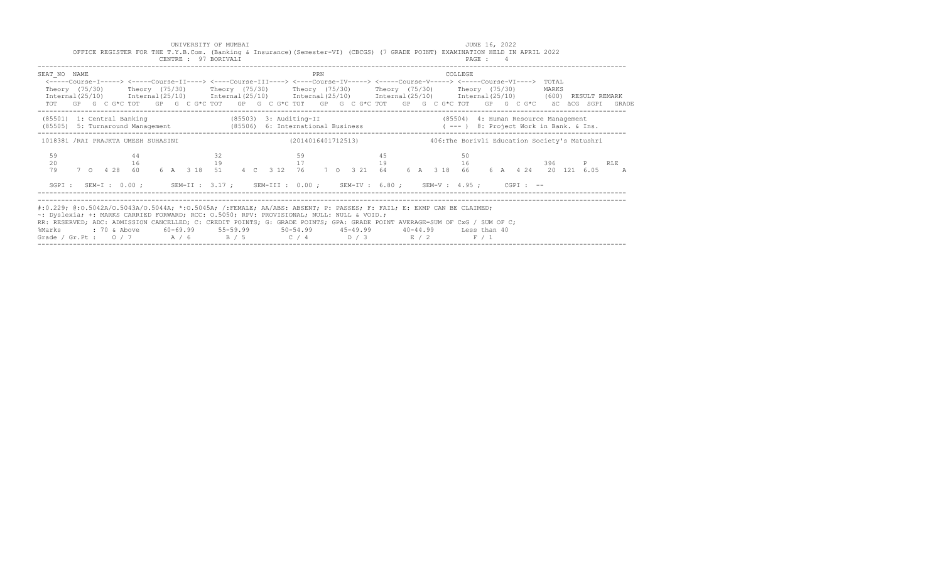|                                                                                                                                                                                                                                                                                                                                                                                                                                                                                               | OFFICE REGISTER FOR THE T.Y.B.Com. (Banking & Insurance) (Semester-VI) (CBCGS) (7 GRADE POINT) EXAMINATION HELD IN APRIL 2022 |          | CENTRE : 97 BORIVALI   |    |  |    |     |    |                    |  |         | PAGE : 4 |  |                                              |           |                |
|-----------------------------------------------------------------------------------------------------------------------------------------------------------------------------------------------------------------------------------------------------------------------------------------------------------------------------------------------------------------------------------------------------------------------------------------------------------------------------------------------|-------------------------------------------------------------------------------------------------------------------------------|----------|------------------------|----|--|----|-----|----|--------------------|--|---------|----------|--|----------------------------------------------|-----------|----------------|
| SEAT NO NAME<br><----Course-I-----> <----Course-II----> <----Course-III----> <----Course-IV-----> <----Course-V-----> <----Course-VI----> TOTAL<br>Theory (75/30)  Theory (75/30)  Theory (75/30)  Theory (75/30)  Theory (75/30)  Theory (75/30)<br>Internal (25/10) Internal (25/10) Internal (25/10) Internal (25/10) Internal (25/10) Internal (25/10) (600) RESULT REMARK<br>TOT GP G C G*C TOT GP G C G*C TOT GP G C G*C TOT GP G C G*C TOT GP G C G*C TOT GP G C G*C aC aCG SGPI GRADE |                                                                                                                               |          |                        |    |  |    | PRN |    |                    |  | COLLEGE |          |  | MARKS                                        |           |                |
| (85501) 1: Central Banking<br>(85505) 5: Turnaround Management (85506) 6: International Business (---) 8: Project Work in Bank. & Ins.                                                                                                                                                                                                                                                                                                                                                        |                                                                                                                               |          | (85503) 3: Auditing-II |    |  |    |     |    |                    |  |         |          |  | (85504) 4: Human Resource Management         |           |                |
| 1018381 /RAI PRAJKTA UMESH SUHASINI                                                                                                                                                                                                                                                                                                                                                                                                                                                           |                                                                                                                               |          |                        |    |  |    |     |    | (2014016401712513) |  |         |          |  | 406:The Borivli Education Society's Matushri |           |                |
| 59<br>20<br>79                                                                                                                                                                                                                                                                                                                                                                                                                                                                                | 7 0 4 28 60 6 A 3 18 51 4 C 3 12 76 7 0 3 21 64 6 A 3 18 66 6 A 4 24 20 121 6.05                                              | 44<br>16 | 19                     | 32 |  | 59 |     | 45 | 17 19 16           |  | 50      |          |  |                                              | 396 P RLE | $\overline{A}$ |
| SGPI: SEM-I: 0.00; SEM-II: 3.17; SEM-III: 0.00; SEM-IV: 6.80; SEM-V: 4.95; CGPI: --                                                                                                                                                                                                                                                                                                                                                                                                           |                                                                                                                               |          |                        |    |  |    |     |    |                    |  |         |          |  |                                              |           |                |
| #:0.229; @:0.5042A/O.5043A/O.5044A; *:0.5045A; /:FEMALE; AA/ABS: ABSENT; P: PASSES; F: FAIL; E: EXMP CAN BE CLAIMED;<br>~: Dyslexia; +: MARKS CARRIED FORWARD; RCC: 0.5050; RPV: PROVISIONAL; NULL: NULL & VOID.;<br>RR: RESERVED; ADC: ADMISSION CANCELLED; C: CREDIT POINTS; G: GRADE POINTS; GPA: GRADE POINT AVERAGE=SUM OF CxG / SUM OF C;<br>%Marks : 70 & Above 60-69.99 55-59.99 50-54.99 45-49.99 40-44.99 Less than 40<br>Grade / Gr.Pt: $0/7$ $A/6$ $B/5$ $C/4$ $D/3$ $E/2$ $F/1$  |                                                                                                                               |          |                        |    |  |    |     |    |                    |  |         |          |  |                                              |           |                |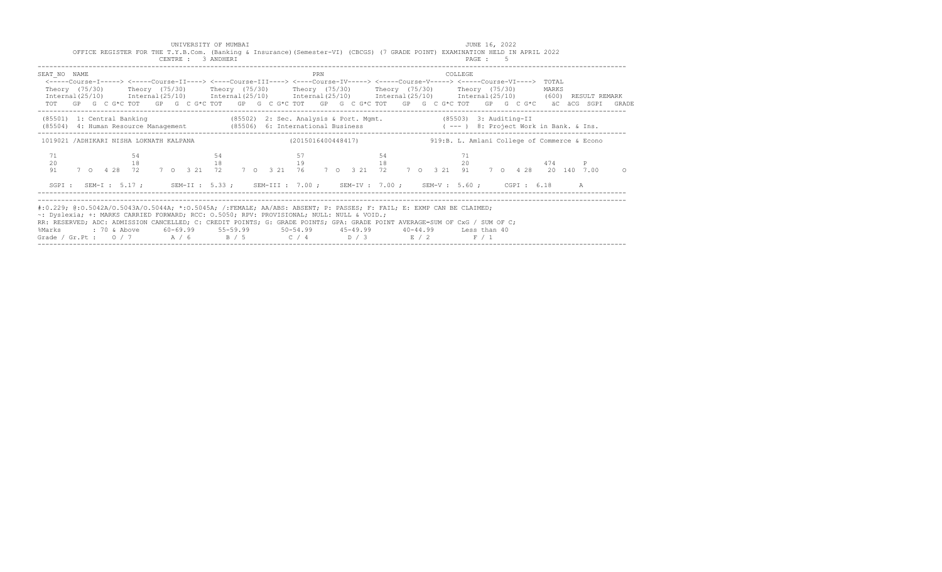| CENTRE : 3 ANDHERI          | OFFICE REGISTER FOR THE T.Y.B.Com. (Banking & Insurance) (Semester-VI) (CBCGS) (7 GRADE POINT) EXAMINATION HELD IN APRIL 2022                                                                                                                                                                                                                                                                                                                                                                 | PAGE : 5         |
|-----------------------------|-----------------------------------------------------------------------------------------------------------------------------------------------------------------------------------------------------------------------------------------------------------------------------------------------------------------------------------------------------------------------------------------------------------------------------------------------------------------------------------------------|------------------|
| SEAT NO NAME                | PRN<br><-----Course-I-----> <-----Course-II----> <----Course-III----> <----Course-IV-----> <----Course-V-----> <----Course-VI----> TOTAL<br>Theory (75/30)  Theory (75/30)  Theory (75/30)  Theory (75/30)  Theory (75/30)  Theory (75/30)<br>Internal (25/10) Internal (25/10) Internal (25/10) Internal (25/10) Internal (25/10) Internal (25/10) (600) RESULT REMARK<br>TOT GP G C G*C TOT GP G C G*C TOT GP G C G*C TOT GP G C G*C TOT GP G C G*C TOT GP G C G*C äC äCG SGPI GRADE        | COLLEGE<br>MARKS |
| (85501) 1: Central Banking  | (85502) 2: Sec. Analysis & Port. Mgmt. (85503) 3: Auditing-II<br>(85504) 4: Human Resource Management (85506) 6: International Business (---) 8: Project Work in Bank. & Ins.                                                                                                                                                                                                                                                                                                                 |                  |
|                             | 1019021 /ADHIKARI NISHA LOKNATH KALPANA (2015016400448417) 419:B.L. Amlani College of Commerce & Econo                                                                                                                                                                                                                                                                                                                                                                                        |                  |
| 71<br>-54<br>20<br>18<br>91 | 57<br>54<br>54<br>18 19 19 18 20 474 P<br>7 0 4 28 72 7 0 3 21 72 7 0 3 21 76 7 0 3 21 72 7 0 3 21 91 7 0 4 28 20 140 7.00                                                                                                                                                                                                                                                                                                                                                                    | 71<br>$\Omega$   |
|                             | SGPI: SEM-I: 5.17; SEM-II: 5.33; SEM-III: 7.00; SEM-IV: 7.00; SEM-V: 5.60; CGPI: 6.18 A                                                                                                                                                                                                                                                                                                                                                                                                       |                  |
|                             | #:0.229; @:0.5042A/0.5043A/0.5044A; *:0.5045A; /:FEMALE; AA/ABS: ABSENT; P: PASSES; F: FAIL; E: EXMP CAN BE CLAIMED;<br>~: Dyslexia; +: MARKS CARRIED FORWARD; RCC: 0.5050; RPV: PROVISIONAL; NULL: NULL & VOID.;<br>RR: RESERVED; ADC: ADMISSION CANCELLED; C: CREDIT POINTS; G: GRADE POINTS; GPA: GRADE POINT AVERAGE=SUM OF CxG / SUM OF C;<br>%Marks : 70 & Above 60-69.99 55-59.99 50-54.99 45-49.99 40-44.99 Less than 40<br>Grade / Gr.Pt : $0/7$ $A/6$ $B/5$ $C/4$ $D/3$ $E/2$ $F/1$ |                  |

UNIVERSITY OF MUMBAI **All and Separate Contract Contract Contract Contract Contract Contract Contract Contract Contract Contract Contract Contract Contract Contract Contract Contract Contract Contract Contract Contract Con**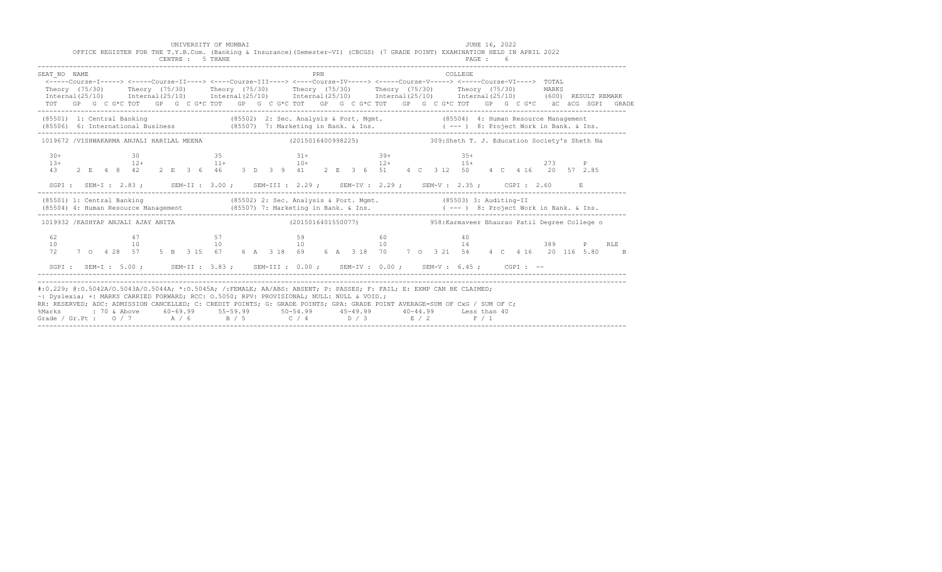|                                                                                                                                                                                                                                                                                                                                                                                                                        |  |  |                               |    |  | CENTRE : 5 THANE |  |  | OFFICE REGISTER FOR THE T.Y.B.Com. (Banking & Insurance) (Semester-VI) (CBCGS) (7 GRADE POINT) EXAMINATION HELD IN APRIL 2022                                                                                                                    |     |  |       |  |  |                |    | PAGE : 6 |  |  |     |              |     |  |
|------------------------------------------------------------------------------------------------------------------------------------------------------------------------------------------------------------------------------------------------------------------------------------------------------------------------------------------------------------------------------------------------------------------------|--|--|-------------------------------|----|--|------------------|--|--|--------------------------------------------------------------------------------------------------------------------------------------------------------------------------------------------------------------------------------------------------|-----|--|-------|--|--|----------------|----|----------|--|--|-----|--------------|-----|--|
| SEAT NO NAME<br>Theory (75/30) Theory (75/30) Theory (75/30) Theory (75/30) Theory (75/30) Theory (75/30) MARKS<br>Internal(25/10) Internal(25/10) Internal(25/10) Internal(25/10) Internal(25/10) Internal(25/10) (600)RESULTREMARK                                                                                                                                                                                   |  |  |                               |    |  |                  |  |  | <-----Course-I-----> <-----Course-II----> <----Course-III----> <----Course-IV-----> <----Course-V-----> <----Course-VI----> TOTAL<br>TOT GP G C G*C TOT GP G C G*C TOT GP G C G*C TOT GP G C G*C TOT GP G C G*C TOT GP G C G*C äC äCG SGPI GRADE | PRN |  |       |  |  | <b>COLLEGE</b> |    |          |  |  |     |              |     |  |
| (85501) 1: Central Banking (85502) 2: Sec. Analysis & Port. Mgmt. (85504) 4: Human Resource Management (85506) 6: International Business (85507) 7: Marketing in Bank. & Ins. ( --- ) 8: Project Work in Bank. & Ins.                                                                                                                                                                                                  |  |  |                               |    |  |                  |  |  |                                                                                                                                                                                                                                                  |     |  |       |  |  |                |    |          |  |  |     |              |     |  |
| 1019672 /VISHWAKARMA ANJALI HARILAL MEENA (2015016400998225) 309:Sheth T. J. Education Society's Sheth Na                                                                                                                                                                                                                                                                                                              |  |  |                               |    |  |                  |  |  |                                                                                                                                                                                                                                                  |     |  |       |  |  |                |    |          |  |  |     |              |     |  |
| $30+$<br>$13+$<br>43                                                                                                                                                                                                                                                                                                                                                                                                   |  |  |                               |    |  |                  |  |  | $30$ $35$ $31+$ $39+$ $35+$<br>$12+$ $15+$<br>2 E 4 8 42 2 E 3 6 46 3 D 3 9 41 2 E 3 6 51 4 C 3 12 50 4 C 4 16 20 57 2.85<br>SGPI: SEM-I: 2.83; SEM-II: 3.00; SEM-III: 2.29; SEM-IV: 2.29; SEM-V: 2.35; CGPI: 2.60                               |     |  | $39+$ |  |  |                |    |          |  |  | 273 | $\mathbb{P}$ |     |  |
| (85501) 1: Central Banking (85502) 2: Sec. Analysis & Port. Mgmt. (85503) 3: Auditing-II                                                                                                                                                                                                                                                                                                                               |  |  |                               |    |  |                  |  |  |                                                                                                                                                                                                                                                  |     |  |       |  |  |                |    |          |  |  |     |              |     |  |
| 1019932 /KASHYAP ANJALI AJAY ANITA (2015016401550077) 958: Karmaveer Bhaurao Patil Degree College o                                                                                                                                                                                                                                                                                                                    |  |  |                               |    |  |                  |  |  |                                                                                                                                                                                                                                                  |     |  |       |  |  |                |    |          |  |  |     |              |     |  |
| 62<br>10<br>72                                                                                                                                                                                                                                                                                                                                                                                                         |  |  | 47<br>7 0 4 28 57 5 B 3 15 67 | 10 |  |                  |  |  | $57$ 57<br>$10 \qquad \qquad 10 \qquad \qquad 10 \qquad \qquad 14$<br>6 A 3 18 69 6 A 3 18 70 7 0 3 21 54 4 C 4 16 20 116 5.80 B                                                                                                                 |     |  | 60    |  |  |                | 40 |          |  |  |     |              | RLE |  |
|                                                                                                                                                                                                                                                                                                                                                                                                                        |  |  |                               |    |  |                  |  |  | SGPI: SEM-I: 5.00; SEM-II: 3.83; SEM-III: 0.00; SEM-IV: 0.00; SEM-V: 6.45; CGPI: --                                                                                                                                                              |     |  |       |  |  |                |    |          |  |  |     |              |     |  |
| #:0.229; @:0.5042A/0.5043A/0.5044A; *:0.5045A; /:FEMALE; AA/ABS: ABSENT; P: PASSES; F: FAIL; E: EXMP CAN BE CLAIMED;<br>~: Dyslexia; +: MARKS CARRIED FORWARD; RCC: 0.5050; RPV: PROVISIONAL; NULL: NULL & VOID.;<br>RR: RESERVED; ADC: ADMISSION CANCELLED; C: CREDIT POINTS; G: GRADE POINTS; GPA: GRADE POINT AVERAGE=SUM OF CxG / SUM OF C;<br>%Marks<br>Grade / Gr.Pt : $0/7$ $A/6$ $B/5$ $C/4$ $D/3$ $E/2$ $F/1$ |  |  |                               |    |  |                  |  |  | : 70 & Above 60-69.99 55-59.99 50-54.99 45-49.99 40-44.99 Less than 40                                                                                                                                                                           |     |  |       |  |  |                |    |          |  |  |     |              |     |  |

------------------------------------------------------------------------------------------------------------------------------------------------------

UNIVERSITY OF MUMBAI AND SERVICE SERVICES AND THE SERVICES OF SUMMER 16, 2022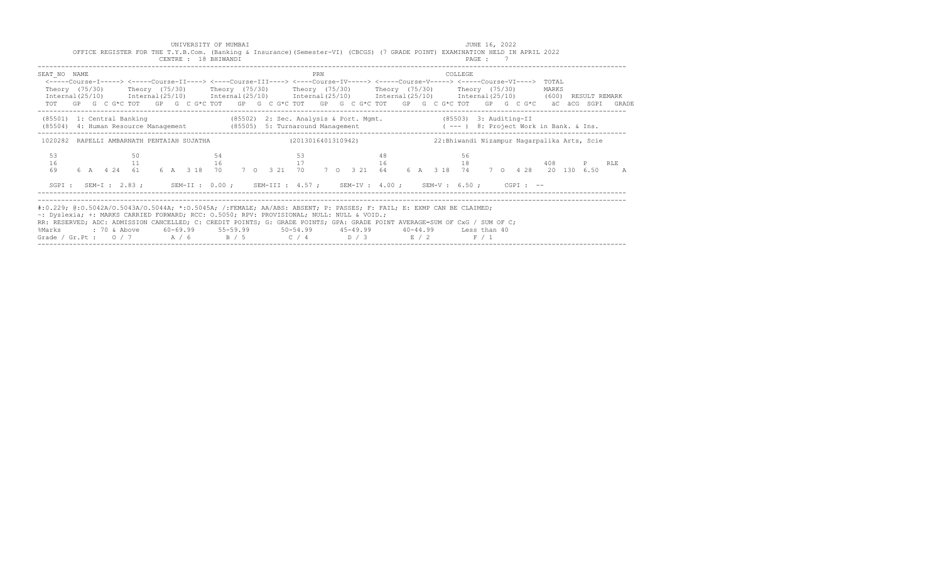|                                                                                                                                                                                                                                                                                                                                                                                                                                                                                              |  |    |  | CENTRE : 18 BHIWANDI |    |  |    | OFFICE REGISTER FOR THE T.Y.B.Com. (Banking & Insurance) (Semester-VI) (CBCGS) (7 GRADE POINT) EXAMINATION HELD IN APRIL 2022 |     |  |    |  |  |         | PAGE: 7 |  |       |                                              |                                                                                                             |
|----------------------------------------------------------------------------------------------------------------------------------------------------------------------------------------------------------------------------------------------------------------------------------------------------------------------------------------------------------------------------------------------------------------------------------------------------------------------------------------------|--|----|--|----------------------|----|--|----|-------------------------------------------------------------------------------------------------------------------------------|-----|--|----|--|--|---------|---------|--|-------|----------------------------------------------|-------------------------------------------------------------------------------------------------------------|
| SEAT NO NAME<br><----Course-I-----> <----Course-II----> <----Course-III----> <----Course-IV-----> <----Course-V-----> <----Course-VI----> TOTAL<br>Theory (75/30)  Theory (75/30)  Theory (75/30)  Theory (75/30)  Theory (75/30)  Theory (75/30)<br>Internal (25/10) Internal (25/10) Internal (25/10) Internal (25/10) Internal (25/10) Internal (25/10) (600) RESULT REMARK                                                                                                               |  |    |  |                      |    |  |    |                                                                                                                               | PRN |  |    |  |  | COLLEGE |         |  | MARKS |                                              | TOT GP G C G*C TOT GP G C G*C TOT GP G C G*C TOT GP G C G*C TOT GP G C G*C TOT GP G C G*C äC äCG SGPI GRADE |
| (85501) 1: Central Banking (85502) 2: Sec. Analysis & Port. Mgmt. (85503) 3: Auditing-II<br>(85504) 4: Human Resource Management (85505) 5: Turnaround Management (---) 8: Project Work in Bank. & Ins.                                                                                                                                                                                                                                                                                      |  |    |  |                      |    |  |    |                                                                                                                               |     |  |    |  |  |         |         |  |       |                                              |                                                                                                             |
| 1020282 RAPELLI AMBARNATH PENTAIAH SUJATHA (2013016401310942)                                                                                                                                                                                                                                                                                                                                                                                                                                |  |    |  |                      |    |  |    |                                                                                                                               |     |  |    |  |  |         |         |  |       | 22: Bhiwandi Nizampur Nagarpalika Arts, Scie |                                                                                                             |
| 53<br>16<br>69                                                                                                                                                                                                                                                                                                                                                                                                                                                                               |  | 50 |  | 11 16                | 54 |  | 53 | $17$ and $16$ and $18$                                                                                                        |     |  | 48 |  |  | 56      |         |  |       | 408 P RLE                                    | 6 A 4 24 61 6 A 3 18 70 7 0 3 21 70 7 0 3 21 64 6 A 3 18 74 7 0 4 28 20 130 6.50 A                          |
|                                                                                                                                                                                                                                                                                                                                                                                                                                                                                              |  |    |  |                      |    |  |    | SGPI: SEM-I: 2.83; SEM-II: 0.00; SEM-III: 4.57; SEM-IV: 4.00; SEM-V: 6.50; CGPI: --                                           |     |  |    |  |  |         |         |  |       |                                              |                                                                                                             |
| #:0.229; @:0.5042A/O.5043A/O.5044A; *:0.5045A; /:FEMALE; AA/ABS: ABSENT; P: PASSES; F: FAIL; E: EXMP CAN BE CLAIMED;<br>~: Dyslexia; +: MARKS CARRIED FORWARD; RCC: 0.5050; RPV: PROVISIONAL; NULL: NULL & VOID.;<br>RR: RESERVED; ADC: ADMISSION CANCELLED; C: CREDIT POINTS; G: GRADE POINTS; GPA: GRADE POINT AVERAGE=SUM OF CxG / SUM OF C;<br>%Marks : 70 & Above 60-69.99 55-59.99 50-54.99 45-49.99 40-44.99 Less than 40<br>Grade / Gr.Pt: $0/7$ $A/6$ $B/5$ $C/4$ $D/3$ $E/2$ $F/1$ |  |    |  |                      |    |  |    |                                                                                                                               |     |  |    |  |  |         |         |  |       |                                              |                                                                                                             |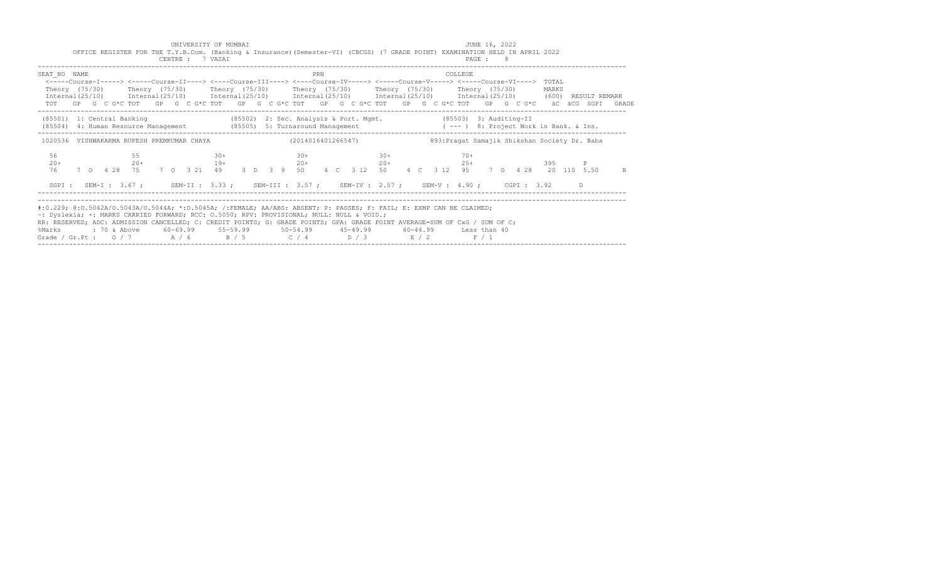| CENTRE : 7 VASAI                 | OFFICE REGISTER FOR THE T.Y.B.Com. (Banking & Insurance) (Semester-VI) (CBCGS) (7 GRADE POINT) EXAMINATION HELD IN APRIL 2022                                                                                                                                                                                                                                                                                | PAGE : 8                                                                                                                                                                                                                                                     |    |
|----------------------------------|--------------------------------------------------------------------------------------------------------------------------------------------------------------------------------------------------------------------------------------------------------------------------------------------------------------------------------------------------------------------------------------------------------------|--------------------------------------------------------------------------------------------------------------------------------------------------------------------------------------------------------------------------------------------------------------|----|
| SEAT NO NAME                     | PRN<br><-----Course-I-----> <-----Course-II----> <----Course-III----> <----Course-IV-----> <----Course-V-----> <----Course-VI----> TOTAL<br>Theory (75/30)  Theory (75/30)  Theory (75/30)  Theory (75/30)  Theory (75/30)  Theory (75/30)                                                                                                                                                                   | COLLEGE<br>MARKS<br>Internal (25/10) Internal (25/10) Internal (25/10) Internal (25/10) Internal (25/10) Internal (25/10) (600) RESULT REMARK<br>TOT GP G C G*C TOT GP G C G*C TOT GP G C G*C TOT GP G C G*C TOT GP G C G*C TOT GP G C G*C äC äCG SGPI GRADE |    |
|                                  |                                                                                                                                                                                                                                                                                                                                                                                                              | (85501) 1: Central Banking (85502) 2: Sec. Analysis & Port. Mgmt. (85503) 3: Auditing-II<br>(85504) 4: Human Resource Management (85505) 5: Turnaround Management (--- ) 8: Project Work in Bank. & Ins.                                                     |    |
|                                  | 1020536 VISHWAKARMA RUPESH PREMKUMAR CHAYA (2014016401266547)                                                                                                                                                                                                                                                                                                                                                | 893: Pragat Samajik Shikshan Society Dr. Baba                                                                                                                                                                                                                |    |
| 56<br>$30+$<br>55<br>$20+$<br>76 | $30+$<br>$30+$<br>$20+$ $19+$ $20+$ $20+$ $20+$ $20+$ $25+$                                                                                                                                                                                                                                                                                                                                                  | $70+$<br>7 0 4 28 75 7 0 3 21 49 3 D 3 9 50 4 C 3 12 50 4 C 3 12 95 7 0 4 28 20 110 5.50                                                                                                                                                                     | B. |
|                                  | SGPI: SEM-I: 3.67; SEM-II: 3.33; SEM-III: 3.57; SEM-IV: 2.57; SEM-V: 4.90; CGPI: 3.92                                                                                                                                                                                                                                                                                                                        | D.                                                                                                                                                                                                                                                           |    |
| %Marks                           | #:0.229; @:0.5042A/0.5043A/0.5044A; *:0.5045A; /:FEMALE; AA/ABS: ABSENT; P: PASSES; F: FAIL; E: EXMP CAN BE CLAIMED;<br>~: Dyslexia; +: MARKS CARRIED FORWARD; RCC: 0.5050; RPV: PROVISIONAL; NULL: NULL & VOID.;<br>RR: RESERVED; ADC: ADMISSION CANCELLED; C: CREDIT POINTS; G: GRADE POINTS; GPA: GRADE POINT AVERAGE=SUM OF CxG / SUM OF C;<br>Grade / Gr.Pt : $0/7$ $A/6$ $B/5$ $C/4$ $D/3$ $E/2$ $F/1$ |                                                                                                                                                                                                                                                              |    |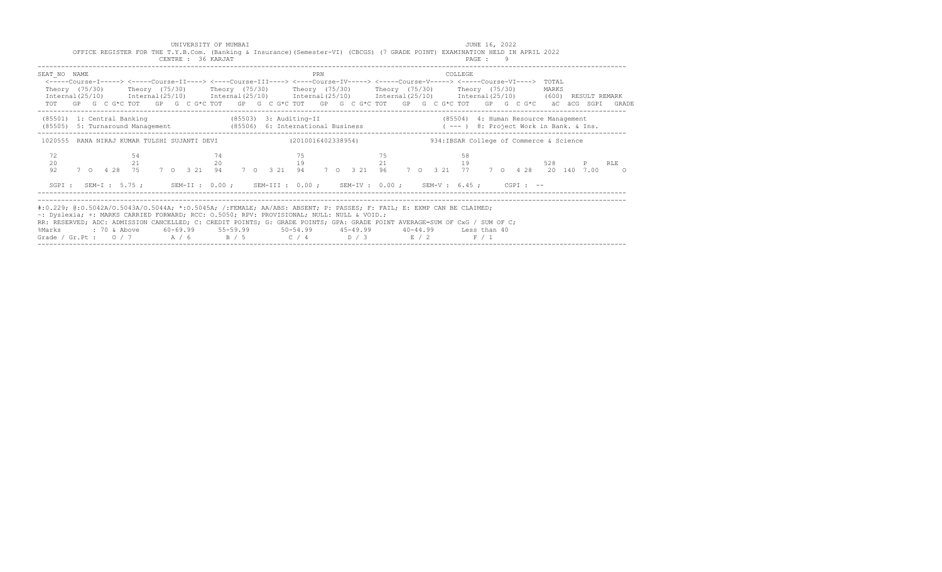|                | OFFICE REGISTER FOR THE T.Y.B.Com. (Banking & Insurance) (Semester-VI) (CBCGS) (7 GRADE POINT) EXAMINATION HELD IN APRIL 2022                                                                                                                                                                                                                                                                                                                                             |              | CENTRE : 36 KARJAT |          |  |          |     |    |    |  |          | PAGE: 9 |  |                                         |       |  |
|----------------|---------------------------------------------------------------------------------------------------------------------------------------------------------------------------------------------------------------------------------------------------------------------------------------------------------------------------------------------------------------------------------------------------------------------------------------------------------------------------|--------------|--------------------|----------|--|----------|-----|----|----|--|----------|---------|--|-----------------------------------------|-------|--|
| SEAT NO NAME   | <-----Course-I-----> <-----Course-II----> <----Course-III----> <----Course-IV-----> <----Course-V-----> <----Course-VI----> TOTAL<br>Theory (75/30)  Theory (75/30)  Theory (75/30)  Theory (75/30)  Theory (75/30)  Theory (75/30)<br>Internal(25/10) Internal(25/10) Internal(25/10) Internal(25/10) Internal(25/10) Internal(25/10) (600) RESULT REMARK<br>TOT GP G C G*C TOT GP G C G*C TOT GP G C G*C TOT GP G C G*C TOT GP G C G*C TOT GP G C G*C äC äCG SGPI GRADE |              |                    |          |  |          | PRN |    |    |  | COLLEGE  |         |  | MARKS                                   |       |  |
|                | (85501) 1: Central Banking (85503) 3: Auditing-II (85504) 4: Human Resource Management (85505) 9: Turnaround Management (85506) 6: International Business (1998) (1999) 8: Project Work in Bank. & Ins.                                                                                                                                                                                                                                                                   |              |                    |          |  |          |     |    |    |  |          |         |  |                                         |       |  |
|                | 1020555 RANA NIRAJ KUMAR TULSHI SUJANTI DEVI (2010016402338954)                                                                                                                                                                                                                                                                                                                                                                                                           |              |                    |          |  |          |     |    |    |  |          |         |  | 934:IBSAR College of Commerce & Science |       |  |
| 72<br>20<br>92 | 7 0 4 28 75 7 0 3 21 94 7 0 3 21 94 7 0 3 21 96 7 0 3 21 77 7 0 4 28 20 140 7 00 0                                                                                                                                                                                                                                                                                                                                                                                        | 54<br>$21 -$ |                    | 74<br>20 |  | 75<br>19 |     | 75 | 21 |  | 58<br>19 |         |  |                                         | P RLE |  |
|                | SGPI: SEM-I: 5.75; SEM-II: 0.00; SEM-III: 0.00; SEM-IV: 0.00; SEM-V: 6.45; CGPI: --                                                                                                                                                                                                                                                                                                                                                                                       |              |                    |          |  |          |     |    |    |  |          |         |  |                                         |       |  |
| %Marks         | #:0.229; @:0.5042A/0.5043A/0.5044A; *:0.5045A; /:FEMALE; AA/ABS: ABSENT; P: PASSES; F: FAIL; E: EXMP CAN BE CLAIMED;<br>~: Dyslexia; +: MARKS CARRIED FORWARD; RCC: 0.5050; RPV: PROVISIONAL; NULL: NULL & VOID.;<br>RR: RESERVED; ADC: ADMISSION CANCELLED; C: CREDIT POINTS; G: GRADE POINTS; GPA: GRADE POINT AVERAGE=SUM OF CxG / SUM OF C;<br>Grade / Gr.Pt : $0/7$ $A/6$ $B/5$ $C/4$ $D/3$ $E/2$                                                                    |              |                    |          |  |          |     |    |    |  |          | F / 1   |  |                                         |       |  |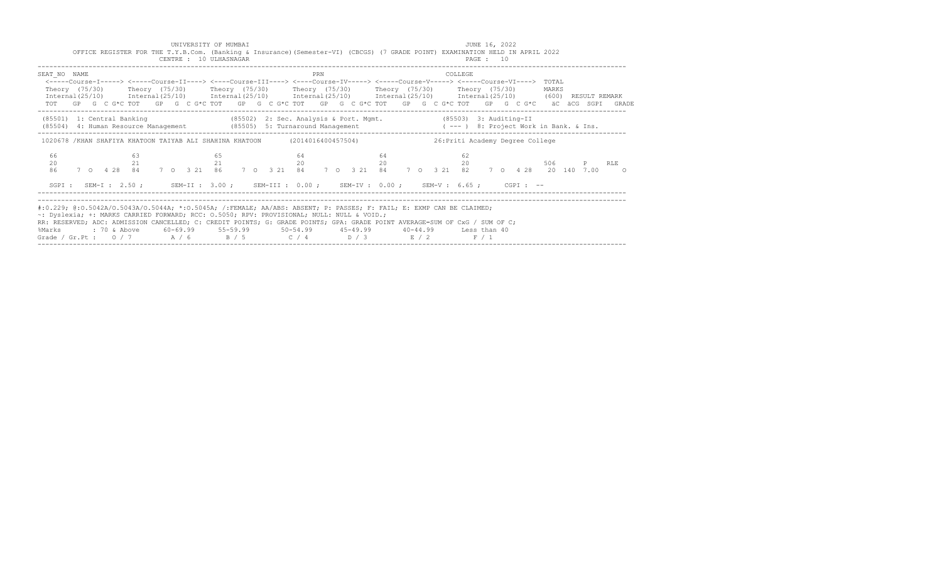|                                                                                                                                                                                                                                                                                                                                                                                                                                                                                               | OFFICE REGISTER FOR THE T.Y.B.Com. (Banking & Insurance) (Semester-VI) (CBCGS) (7 GRADE POINT) EXAMINATION HELD IN APRIL 2022                                                                                                                                                                                                                                                                                                                                                 | CENTRE : 10 ULHASNAGAR |          |    |                |    |  | PAGE : 10                        |       |           |  |
|-----------------------------------------------------------------------------------------------------------------------------------------------------------------------------------------------------------------------------------------------------------------------------------------------------------------------------------------------------------------------------------------------------------------------------------------------------------------------------------------------|-------------------------------------------------------------------------------------------------------------------------------------------------------------------------------------------------------------------------------------------------------------------------------------------------------------------------------------------------------------------------------------------------------------------------------------------------------------------------------|------------------------|----------|----|----------------|----|--|----------------------------------|-------|-----------|--|
| SEAT NO NAME                                                                                                                                                                                                                                                                                                                                                                                                                                                                                  | <----Course-I-----> <----Course-II----> <----Course-III----> <----Course-IV-----> <----Course-V-----> <----Course-VI----> TOTAL<br>Theory (75/30)  Theory (75/30)  Theory (75/30)  Theory (75/30)  Theory (75/30)  Theory (75/30)<br>Internal (25/10) Internal (25/10) Internal (25/10) Internal (25/10) Internal (25/10) Internal (25/10) (600) RESULT REMARK<br>TOT GP G C G*C TOT GP G C G*C TOT GP G C G*C TOT GP G C G*C TOT GP G C G*C TOT GP G C G*C äC äCG SGPI GRADE |                        |          |    | PRN            |    |  | COLLEGE                          | MARKS |           |  |
|                                                                                                                                                                                                                                                                                                                                                                                                                                                                                               | (85501) 1: Central Banking (85502) 2: Sec. Analysis & Port. Mgmt. (85503) 3: Auditing-II<br>(85504) 4: Human Resource Management (85505) 5: Turnaround Management ( --- ) 8: Project Work in Bank. & Ins.                                                                                                                                                                                                                                                                     |                        |          |    |                |    |  |                                  |       |           |  |
|                                                                                                                                                                                                                                                                                                                                                                                                                                                                                               | 1020678 /KHAN SHAFIYA KHATOON TAIYAB ALI SHAHINA KHATOON (2014016400457504)                                                                                                                                                                                                                                                                                                                                                                                                   |                        |          |    |                |    |  | 26: Priti Academy Degree College |       |           |  |
| 66<br>20<br>86                                                                                                                                                                                                                                                                                                                                                                                                                                                                                | 63<br>21<br>7 0  4  28  84  7  0  3  21  86  7  0  3  21  84  7  0  3  21  84  7  0  3  21  82  7  0  4  28  20  140  7.00  0                                                                                                                                                                                                                                                                                                                                                 |                        | 65<br>21 | 64 | $20$ $20$ $20$ | 64 |  | 62                               |       | 506 P RLE |  |
|                                                                                                                                                                                                                                                                                                                                                                                                                                                                                               | SGPI: SEM-I: 2.50; SEM-II: 3.00; SEM-III: 0.00; SEM-IV: 0.00; SEM-V: 6.65; CGPI: --                                                                                                                                                                                                                                                                                                                                                                                           |                        |          |    |                |    |  |                                  |       |           |  |
| #:0.229; @:0.5042A/O.5043A/O.5044A; *:0.5045A; /:FEMALE; AA/ABS: ABSENT; P: PASSES; F: FAIL; E: EXMP CAN BE CLAIMED;<br>~: Dyslexia; +: MARKS CARRIED FORWARD; RCC: 0.5050; RPV: PROVISIONAL; NULL: NULL & VOID.;<br>RR: RESERVED; ADC: ADMISSION CANCELLED; C: CREDIT POINTS; G: GRADE POINTS; GPA: GRADE POINT AVERAGE=SUM OF CxG / SUM OF C;<br>%Marks : 70 & Above 60-69.99 55-59.99 50-54.99 45-49.99 40-44.99 Less than 40<br>Grade / Gr.Pt : $0/7$ $A/6$ $B/5$ $C/4$ $D/3$ $E/2$ $F/1$ |                                                                                                                                                                                                                                                                                                                                                                                                                                                                               |                        |          |    |                |    |  |                                  |       |           |  |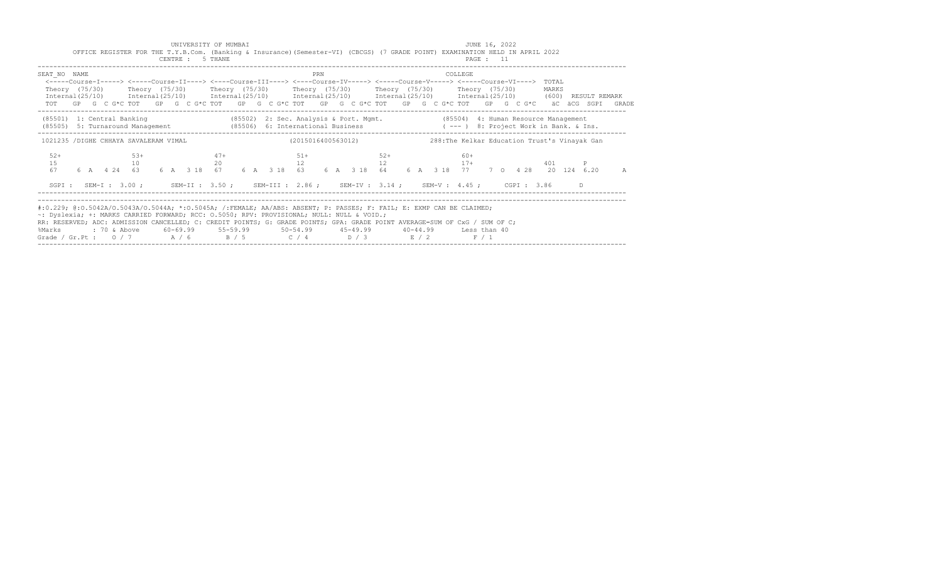|                                                                                                                                                                                                                                                                                                                                                                                                                                                                                              | UNIVERSITY OF MUMBAI<br>OFFICE REGISTER FOR THE T.Y.B.Com. (Banking & Insurance) (Semester-VI) (CBCGS) (7 GRADE POINT) EXAMINATION HELD IN APRIL 2022<br>CENTRE : 5 THANE |  |  |  |       |  |  |  |       |  |  |  |                                                                                       |     |       |  |  |  |         |  | JUNE 16, 2022<br>PAGE : 11 |  |       |  |                                                                                                             |
|----------------------------------------------------------------------------------------------------------------------------------------------------------------------------------------------------------------------------------------------------------------------------------------------------------------------------------------------------------------------------------------------------------------------------------------------------------------------------------------------|---------------------------------------------------------------------------------------------------------------------------------------------------------------------------|--|--|--|-------|--|--|--|-------|--|--|--|---------------------------------------------------------------------------------------|-----|-------|--|--|--|---------|--|----------------------------|--|-------|--|-------------------------------------------------------------------------------------------------------------|
| SEAT NO NAME<br><-----Course-I-----> <-----Course-II----> <----Course-III----> <----Course-IV-----> <----Course-V-----> <----Course-VI----> TOTAL<br>Theory (75/30)  Theory (75/30)  Theory (75/30)  Theory (75/30)  Theory (75/30)  Theory (75/30)<br>Internal(25/10) Internal(25/10) Internal(25/10) Internal(25/10) Internal(25/10) Internal(25/10) (600) RESULT REMARK                                                                                                                   |                                                                                                                                                                           |  |  |  |       |  |  |  |       |  |  |  |                                                                                       | PRN |       |  |  |  | COLLEGE |  |                            |  | MARKS |  | TOT GP G C G*C TOT GP G C G*C TOT GP G C G*C TOT GP G C G*C TOT GP G C G*C TOT GP G C G*C äC äCG SGPI GRADE |
| (85501) 1: Central Banking (85502) 2: Sec. Analysis & Port. Mgmt. (85504) 4: Human Resource Management<br>(85505) 5: Turnaround Management (85506) 6: International Business (---) 8: Project Work in Bank. & Ins.                                                                                                                                                                                                                                                                           |                                                                                                                                                                           |  |  |  |       |  |  |  |       |  |  |  |                                                                                       |     |       |  |  |  |         |  |                            |  |       |  |                                                                                                             |
| 1021235 /DIGHE CHHAYA SAVALERAM VIMAL (2015016400563012) 288: The Kelkar Education Trust's Vinayak Gan<br>$52+$                                                                                                                                                                                                                                                                                                                                                                              |                                                                                                                                                                           |  |  |  | $53+$ |  |  |  | $47+$ |  |  |  | $51+$                                                                                 |     | $52+$ |  |  |  | $60+$   |  |                            |  |       |  |                                                                                                             |
|                                                                                                                                                                                                                                                                                                                                                                                                                                                                                              |                                                                                                                                                                           |  |  |  |       |  |  |  |       |  |  |  | SGPI: SEM-I: 3.00; SEM-II: 3.50; SEM-III: 2.86; SEM-IV: 3.14; SEM-V: 4.45; CGPI: 3.86 |     |       |  |  |  |         |  |                            |  |       |  | A                                                                                                           |
| #:0.229; @:0.5042A/O.5043A/O.5044A; *:0.5045A; /:FEMALE; AA/ABS: ABSENT; P: PASSES; F: FAIL; E: EXMP CAN BE CLAIMED;<br>~: Dyslexia; +: MARKS CARRIED FORWARD; RCC: 0.5050; RPV: PROVISIONAL; NULL: NULL & VOID.;<br>RR: RESERVED; ADC: ADMISSION CANCELLED; C: CREDIT POINTS; G: GRADE POINTS; GPA: GRADE POINT AVERAGE=SUM OF CxG / SUM OF C;<br>%Marks : 70 & Above 60-69.99 55-59.99 50-54.99 45-49.99 40-44.99 Less than 40<br>Grade / Gr.Pt: $0/7$ $A/6$ $B/5$ $C/4$ $D/3$ $E/2$ $F/1$ |                                                                                                                                                                           |  |  |  |       |  |  |  |       |  |  |  |                                                                                       |     |       |  |  |  |         |  |                            |  |       |  |                                                                                                             |